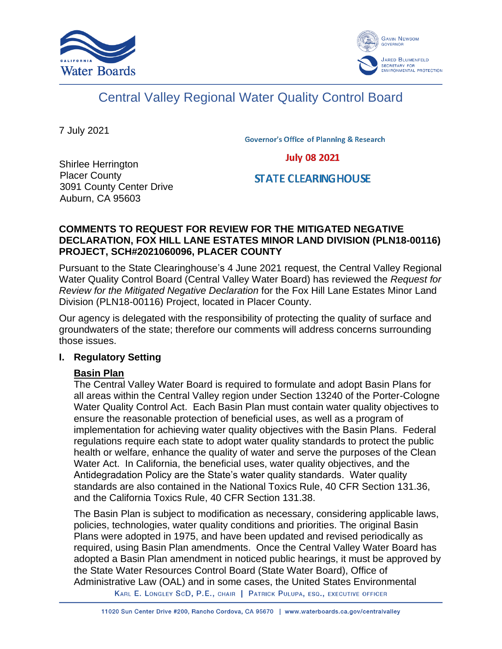



# Central Valley Regional Water Quality Control Board

7 July 2021

**Governor's Office of Planning & Research** 

**July 08 2021** 

Shirlee Herrington Placer County 3091 County Center Drive Auburn, CA 95603

**STATE CLEARING HOUSE** 

#### **COMMENTS TO REQUEST FOR REVIEW FOR THE MITIGATED NEGATIVE DECLARATION, FOX HILL LANE ESTATES MINOR LAND DIVISION (PLN18-00116) PROJECT, SCH#2021060096, PLACER COUNTY**

Pursuant to the State Clearinghouse's 4 June 2021 request, the Central Valley Regional Water Quality Control Board (Central Valley Water Board) has reviewed the *Request for Review for the Mitigated Negative Declaration* for the Fox Hill Lane Estates Minor Land Division (PLN18-00116) Project, located in Placer County.

Our agency is delegated with the responsibility of protecting the quality of surface and groundwaters of the state; therefore our comments will address concerns surrounding those issues.

#### **I. Regulatory Setting**

## **Basin Plan**

The Central Valley Water Board is required to formulate and adopt Basin Plans for all areas within the Central Valley region under Section 13240 of the Porter-Cologne Water Quality Control Act. Each Basin Plan must contain water quality objectives to ensure the reasonable protection of beneficial uses, as well as a program of implementation for achieving water quality objectives with the Basin Plans. Federal regulations require each state to adopt water quality standards to protect the public health or welfare, enhance the quality of water and serve the purposes of the Clean Water Act. In California, the beneficial uses, water quality objectives, and the Antidegradation Policy are the State's water quality standards. Water quality standards are also contained in the National Toxics Rule, 40 CFR Section 131.36, and the California Toxics Rule, 40 CFR Section 131.38.

The Basin Plan is subject to modification as necessary, considering applicable laws, policies, technologies, water quality conditions and priorities. The original Basin Plans were adopted in 1975, and have been updated and revised periodically as required, using Basin Plan amendments. Once the Central Valley Water Board has adopted a Basin Plan amendment in noticed public hearings, it must be approved by the State Water Resources Control Board (State Water Board), Office of Administrative Law (OAL) and in some cases, the United States Environmental

KARL E. LONGLEY SCD, P.E., CHAIR | PATRICK PULUPA, ESQ., EXECUTIVE OFFICER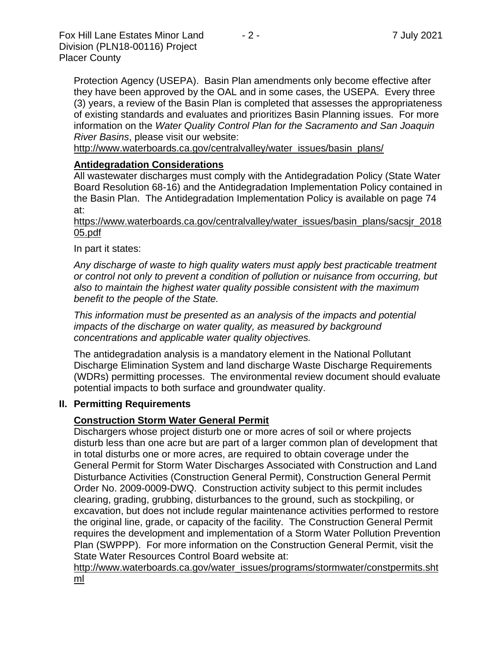Protection Agency (USEPA). Basin Plan amendments only become effective after they have been approved by the OAL and in some cases, the USEPA. Every three (3) years, a review of the Basin Plan is completed that assesses the appropriateness of existing standards and evaluates and prioritizes Basin Planning issues. For more information on the *Water Quality Control Plan for the Sacramento and San Joaquin River Basins*, please visit our website:

[http://www.waterboards.ca.gov/centralvalley/water\\_issues/basin\\_plans/](http://www.waterboards.ca.gov/centralvalley/water_issues/basin_plans/)

#### **Antidegradation Considerations**

All wastewater discharges must comply with the Antidegradation Policy (State Water Board Resolution 68-16) and the Antidegradation Implementation Policy contained in the Basin Plan. The Antidegradation Implementation Policy is available on page 74 at:

https://www.waterboards.ca.gov/centralvalley/water\_issues/basin\_plans/sacsjr\_2018 05.pdf

In part it states:

*Any discharge of waste to high quality waters must apply best practicable treatment or control not only to prevent a condition of pollution or nuisance from occurring, but also to maintain the highest water quality possible consistent with the maximum benefit to the people of the State.*

*This information must be presented as an analysis of the impacts and potential impacts of the discharge on water quality, as measured by background concentrations and applicable water quality objectives.*

The antidegradation analysis is a mandatory element in the National Pollutant Discharge Elimination System and land discharge Waste Discharge Requirements (WDRs) permitting processes. The environmental review document should evaluate potential impacts to both surface and groundwater quality.

#### **II. Permitting Requirements**

#### **Construction Storm Water General Permit**

Dischargers whose project disturb one or more acres of soil or where projects disturb less than one acre but are part of a larger common plan of development that in total disturbs one or more acres, are required to obtain coverage under the General Permit for Storm Water Discharges Associated with Construction and Land Disturbance Activities (Construction General Permit), Construction General Permit Order No. 2009-0009-DWQ. Construction activity subject to this permit includes clearing, grading, grubbing, disturbances to the ground, such as stockpiling, or excavation, but does not include regular maintenance activities performed to restore the original line, grade, or capacity of the facility. The Construction General Permit requires the development and implementation of a Storm Water Pollution Prevention Plan (SWPPP). For more information on the Construction General Permit, visit the State Water Resources Control Board website at:

[http://www.waterboards.ca.gov/water\\_issues/programs/stormwater/constpermits.sht](http://www.waterboards.ca.gov/water_issues/programs/stormwater/constpermits.shtml) [ml](http://www.waterboards.ca.gov/water_issues/programs/stormwater/constpermits.shtml)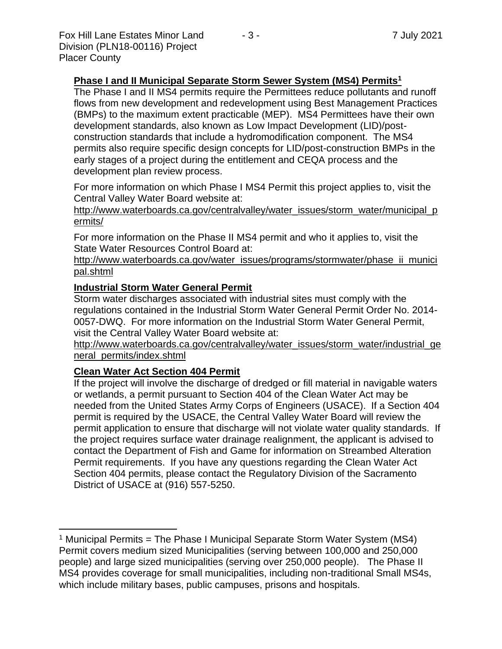## **Phase I and II Municipal Separate Storm Sewer System (MS4) Permits<sup>1</sup>**

The Phase I and II MS4 permits require the Permittees reduce pollutants and runoff flows from new development and redevelopment using Best Management Practices (BMPs) to the maximum extent practicable (MEP). MS4 Permittees have their own development standards, also known as Low Impact Development (LID)/postconstruction standards that include a hydromodification component. The MS4 permits also require specific design concepts for LID/post-construction BMPs in the early stages of a project during the entitlement and CEQA process and the development plan review process.

For more information on which Phase I MS4 Permit this project applies to, visit the Central Valley Water Board website at:

http://www.waterboards.ca.gov/centralvalley/water\_issues/storm\_water/municipal\_p ermits/

For more information on the Phase II MS4 permit and who it applies to, visit the State Water Resources Control Board at:

http://www.waterboards.ca.gov/water\_issues/programs/stormwater/phase\_ii\_munici pal.shtml

#### **Industrial Storm Water General Permit**

Storm water discharges associated with industrial sites must comply with the regulations contained in the Industrial Storm Water General Permit Order No. 2014- 0057-DWQ. For more information on the Industrial Storm Water General Permit, visit the Central Valley Water Board website at:

http://www.waterboards.ca.gov/centralvalley/water\_issues/storm\_water/industrial\_ge neral\_permits/index.shtml

#### **Clean Water Act Section 404 Permit**

If the project will involve the discharge of dredged or fill material in navigable waters or wetlands, a permit pursuant to Section 404 of the Clean Water Act may be needed from the United States Army Corps of Engineers (USACE). If a Section 404 permit is required by the USACE, the Central Valley Water Board will review the permit application to ensure that discharge will not violate water quality standards. If the project requires surface water drainage realignment, the applicant is advised to contact the Department of Fish and Game for information on Streambed Alteration Permit requirements. If you have any questions regarding the Clean Water Act Section 404 permits, please contact the Regulatory Division of the Sacramento District of USACE at (916) 557-5250.

<sup>&</sup>lt;sup>1</sup> Municipal Permits = The Phase I Municipal Separate Storm Water System (MS4) Permit covers medium sized Municipalities (serving between 100,000 and 250,000 people) and large sized municipalities (serving over 250,000 people). The Phase II MS4 provides coverage for small municipalities, including non-traditional Small MS4s, which include military bases, public campuses, prisons and hospitals.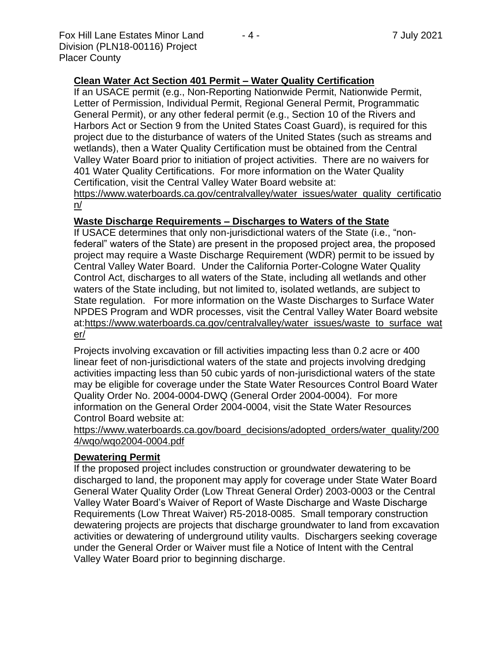Fox Hill Lane Estates Minor Land  $-4 -$  7 July 2021 Division (PLN18-00116) Project Placer County

## **Clean Water Act Section 401 Permit – Water Quality Certification**

If an USACE permit (e.g., Non-Reporting Nationwide Permit, Nationwide Permit, Letter of Permission, Individual Permit, Regional General Permit, Programmatic General Permit), or any other federal permit (e.g., Section 10 of the Rivers and Harbors Act or Section 9 from the United States Coast Guard), is required for this project due to the disturbance of waters of the United States (such as streams and wetlands), then a Water Quality Certification must be obtained from the Central Valley Water Board prior to initiation of project activities. There are no waivers for 401 Water Quality Certifications. For more information on the Water Quality Certification, visit the Central Valley Water Board website at: https://www.waterboards.ca.gov/centralvalley/water\_issues/water\_quality\_certificatio

n/

## **Waste Discharge Requirements – Discharges to Waters of the State**

If USACE determines that only non-jurisdictional waters of the State (i.e., "nonfederal" waters of the State) are present in the proposed project area, the proposed project may require a Waste Discharge Requirement (WDR) permit to be issued by Central Valley Water Board. Under the California Porter-Cologne Water Quality Control Act, discharges to all waters of the State, including all wetlands and other waters of the State including, but not limited to, isolated wetlands, are subject to State regulation. For more information on the Waste Discharges to Surface Water NPDES Program and WDR processes, visit the Central Valley Water Board website at:https://www.waterboards.ca.gov/centralvalley/water\_issues/waste\_to\_surface\_wat er/

Projects involving excavation or fill activities impacting less than 0.2 acre or 400 linear feet of non-jurisdictional waters of the state and projects involving dredging activities impacting less than 50 cubic yards of non-jurisdictional waters of the state may be eligible for coverage under the State Water Resources Control Board Water Quality Order No. 2004-0004-DWQ (General Order 2004-0004). For more information on the General Order 2004-0004, visit the State Water Resources Control Board website at:

https://www.waterboards.ca.gov/board\_decisions/adopted\_orders/water\_quality/200 4/wqo/wqo2004-0004.pdf

## **Dewatering Permit**

If the proposed project includes construction or groundwater dewatering to be discharged to land, the proponent may apply for coverage under State Water Board General Water Quality Order (Low Threat General Order) 2003-0003 or the Central Valley Water Board's Waiver of Report of Waste Discharge and Waste Discharge Requirements (Low Threat Waiver) R5-2018-0085. Small temporary construction dewatering projects are projects that discharge groundwater to land from excavation activities or dewatering of underground utility vaults. Dischargers seeking coverage under the General Order or Waiver must file a Notice of Intent with the Central Valley Water Board prior to beginning discharge.